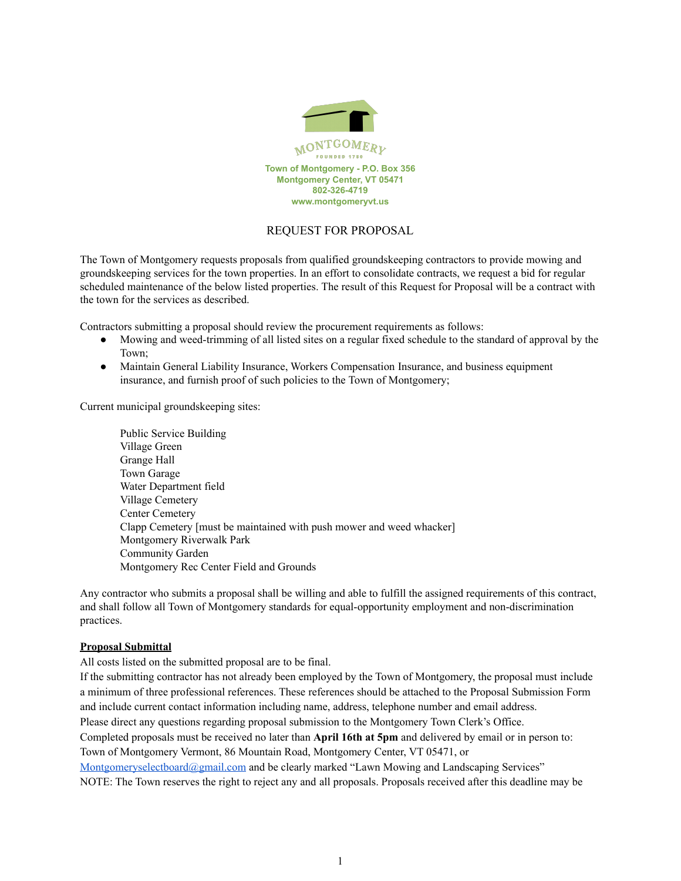

# REQUEST FOR PROPOSAL

The Town of Montgomery requests proposals from qualified groundskeeping contractors to provide mowing and groundskeeping services for the town properties. In an effort to consolidate contracts, we request a bid for regular scheduled maintenance of the below listed properties. The result of this Request for Proposal will be a contract with the town for the services as described.

Contractors submitting a proposal should review the procurement requirements as follows:

- Mowing and weed-trimming of all listed sites on a regular fixed schedule to the standard of approval by the Town;
- Maintain General Liability Insurance, Workers Compensation Insurance, and business equipment insurance, and furnish proof of such policies to the Town of Montgomery;

Current municipal groundskeeping sites:

Public Service Building Village Green Grange Hall Town Garage Water Department field Village Cemetery Center Cemetery Clapp Cemetery [must be maintained with push mower and weed whacker] Montgomery Riverwalk Park Community Garden Montgomery Rec Center Field and Grounds

Any contractor who submits a proposal shall be willing and able to fulfill the assigned requirements of this contract, and shall follow all Town of Montgomery standards for equal-opportunity employment and non-discrimination practices.

## **Proposal Submittal**

All costs listed on the submitted proposal are to be final.

If the submitting contractor has not already been employed by the Town of Montgomery, the proposal must include a minimum of three professional references. These references should be attached to the Proposal Submission Form and include current contact information including name, address, telephone number and email address. Please direct any questions regarding proposal submission to the Montgomery Town Clerk's Office. Completed proposals must be received no later than **April 16th at 5pm** and delivered by email or in person to: Town of Montgomery Vermont, 86 Mountain Road, Montgomery Center, VT 05471, or [Montgomeryselectboard@gmail.com](mailto:Montgomeryselectboard@gmail.com) and be clearly marked "Lawn Mowing and Landscaping Services" NOTE: The Town reserves the right to reject any and all proposals. Proposals received after this deadline may be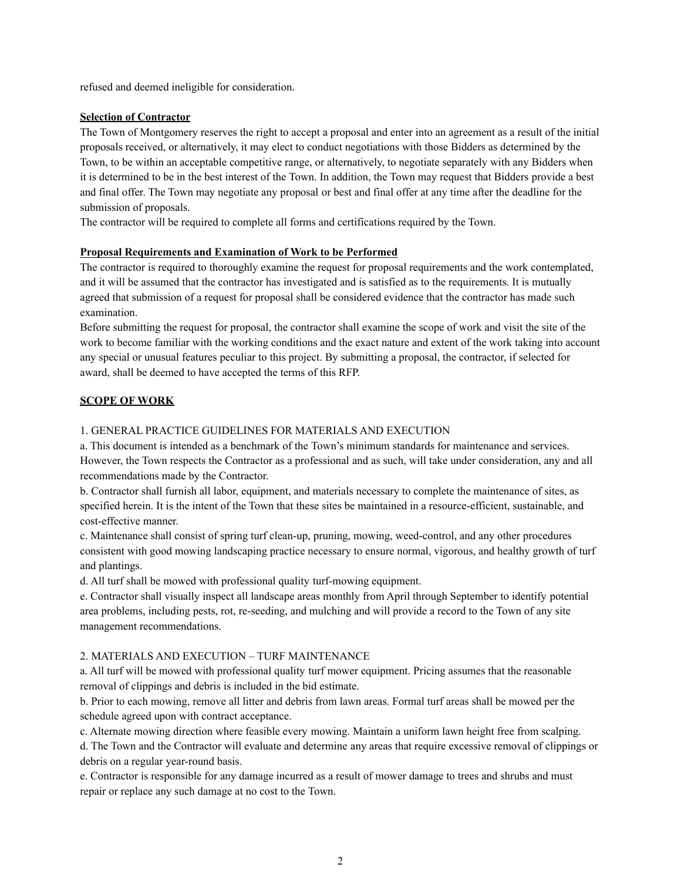refused and deemed ineligible for consideration.

## **Selection of Contractor**

The Town of Montgomery reserves the right to accept a proposal and enter into an agreement as a result of the initial proposals received, or alternatively, it may elect to conduct negotiations with those Bidders as determined by the Town, to be within an acceptable competitive range, or alternatively, to negotiate separately with any Bidders when it is determined to be in the best interest of the Town. In addition, the Town may request that Bidders provide a best and final offer. The Town may negotiate any proposal or best and final offer at any time after the deadline for the submission of proposals.

The contractor will be required to complete all forms and certifications required by the Town.

## **Proposal Requirements and Examination of Work to be Performed**

The contractor is required to thoroughly examine the request for proposal requirements and the work contemplated, and it will be assumed that the contractor has investigated and is satisfied as to the requirements. It is mutually agreed that submission of a request for proposal shall be considered evidence that the contractor has made such examination.

Before submitting the request for proposal, the contractor shall examine the scope of work and visit the site of the work to become familiar with the working conditions and the exact nature and extent of the work taking into account any special or unusual features peculiar to this project. By submitting a proposal, the contractor, if selected for award, shall be deemed to have accepted the terms of this RFP.

## **SCOPE OF WORK**

## 1. GENERAL PRACTICE GUIDELINES FOR MATERIALS AND EXECUTION

a. This document is intended as a benchmark of the Town's minimum standards for maintenance and services. However, the Town respects the Contractor as a professional and as such, will take under consideration, any and all recommendations made by the Contractor.

b. Contractor shall furnish all labor, equipment, and materials necessary to complete the maintenance of sites, as specified herein. It is the intent of the Town that these sites be maintained in a resource-efficient, sustainable, and cost-effective manner.

c. Maintenance shall consist of spring turf clean-up, pruning, mowing, weed-control, and any other procedures consistent with good mowing landscaping practice necessary to ensure normal, vigorous, and healthy growth of turf and plantings.

d. All turf shall be mowed with professional quality turf-mowing equipment.

e. Contractor shall visually inspect all landscape areas monthly from April through September to identify potential area problems, including pests, rot, re-seeding, and mulching and will provide a record to the Town of any site management recommendations.

## 2. MATERIALS AND EXECUTION – TURF MAINTENANCE

a. All turf will be mowed with professional quality turf mower equipment. Pricing assumes that the reasonable removal of clippings and debris is included in the bid estimate.

b. Prior to each mowing, remove all litter and debris from lawn areas. Formal turf areas shall be mowed per the schedule agreed upon with contract acceptance.

c. Alternate mowing direction where feasible every mowing. Maintain a uniform lawn height free from scalping.

d. The Town and the Contractor will evaluate and determine any areas that require excessive removal of clippings or debris on a regular year-round basis.

e. Contractor is responsible for any damage incurred as a result of mower damage to trees and shrubs and must repair or replace any such damage at no cost to the Town.